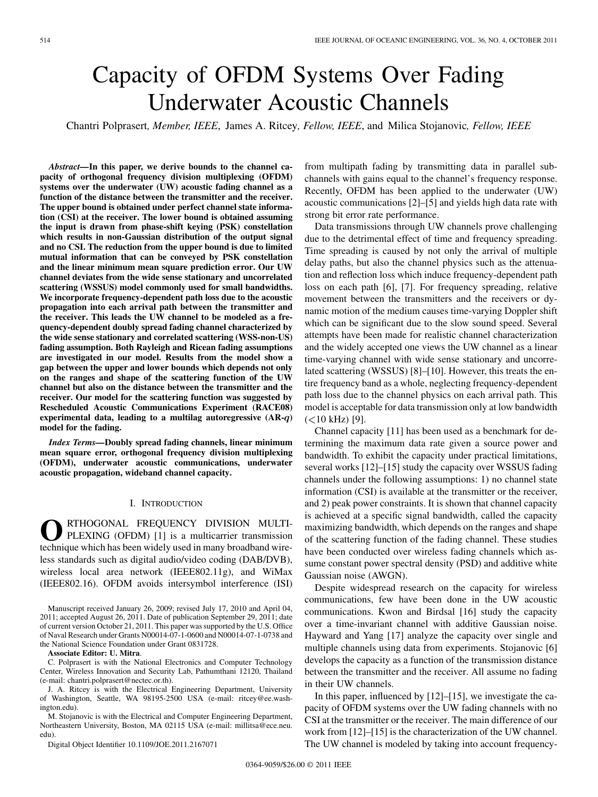# Capacity of OFDM Systems Over Fading Underwater Acoustic Channels

Chantri Polprasert*, Member, IEEE*, James A. Ritcey*, Fellow, IEEE*, and Milica Stojanovic*, Fellow, IEEE*

*Abstract—***In this paper, we derive bounds to the channel capacity of orthogonal frequency division multiplexing (OFDM) systems over the underwater (UW) acoustic fading channel as a function of the distance between the transmitter and the receiver. The upper bound is obtained under perfect channel state information (CSI) at the receiver. The lower bound is obtained assuming the input is drawn from phase-shift keying (PSK) constellation which results in non-Gaussian distribution of the output signal and no CSI. The reduction from the upper bound is due to limited mutual information that can be conveyed by PSK constellation and the linear minimum mean square prediction error. Our UW channel deviates from the wide sense stationary and uncorrelated scattering (WSSUS) model commonly used for small bandwidths. We incorporate frequency-dependent path loss due to the acoustic propagation into each arrival path between the transmitter and the receiver. This leads the UW channel to be modeled as a frequency-dependent doubly spread fading channel characterized by the wide sense stationary and correlated scattering (WSS-non-US) fading assumption. Both Rayleigh and Ricean fading assumptions are investigated in our model. Results from the model show a gap between the upper and lower bounds which depends not only on the ranges and shape of the scattering function of the UW channel but also on the distance between the transmitter and the receiver. Our model for the scattering function was suggested by Rescheduled Acoustic Communications Experiment (RACE08)** experimental data, leading to a multilag autoregressive  $(AR-q)$ **model for the fading.**

*Index Terms—***Doubly spread fading channels, linear minimum mean square error, orthogonal frequency division multiplexing (OFDM), underwater acoustic communications, underwater acoustic propagation, wideband channel capacity.**

#### I. INTRODUCTION

**O**RTHOGONAL FREQUENCY DIVISION MULTI-<br>PLEXING (OFDM) [1] is a multicarrier transmission technique which has been widely used in many broadband wireless standards such as digital audio/video coding (DAB/DVB), wireless local area network (IEEE802.11g), and WiMax (IEEE802.16). OFDM avoids intersymbol interference (ISI)

Manuscript received January 26, 2009; revised July 17, 2010 and April 04, 2011; accepted August 26, 2011. Date of publication September 29, 2011; date of current version October 21, 2011. This paper was supported by the U.S. Office of Naval Research under Grants N00014-07-1-0600 and N00014-07-1-0738 and the National Science Foundation under Grant 0831728.

#### **Associate Editor: U. Mitra**.

C. Polprasert is with the National Electronics and Computer Technology Center, Wireless Innovation and Security Lab, Pathumthani 12120, Thailand (e-mail: chantri.polprasert@nectec.or.th).

J. A. Ritcey is with the Electrical Engineering Department, University of Washington, Seattle, WA 98195-2500 USA (e-mail: ritcey@ee.washington.edu).

M. Stojanovic is with the Electrical and Computer Engineering Department, Northeastern University, Boston, MA 02115 USA (e-mail: millitsa@ece.neu. edu).

Digital Object Identifier 10.1109/JOE.2011.2167071

from multipath fading by transmitting data in parallel subchannels with gains equal to the channel's frequency response. Recently, OFDM has been applied to the underwater (UW) acoustic communications [2]–[5] and yields high data rate with strong bit error rate performance.

Data transmissions through UW channels prove challenging due to the detrimental effect of time and frequency spreading. Time spreading is caused by not only the arrival of multiple delay paths, but also the channel physics such as the attenuation and reflection loss which induce frequency-dependent path loss on each path [6], [7]. For frequency spreading, relative movement between the transmitters and the receivers or dynamic motion of the medium causes time-varying Doppler shift which can be significant due to the slow sound speed. Several attempts have been made for realistic channel characterization and the widely accepted one views the UW channel as a linear time-varying channel with wide sense stationary and uncorrelated scattering (WSSUS) [8]–[10]. However, this treats the entire frequency band as a whole, neglecting frequency-dependent path loss due to the channel physics on each arrival path. This model is acceptable for data transmission only at low bandwidth  $(<$ 10 kHz) [9].

Channel capacity [11] has been used as a benchmark for determining the maximum data rate given a source power and bandwidth. To exhibit the capacity under practical limitations, several works [12]–[15] study the capacity over WSSUS fading channels under the following assumptions: 1) no channel state information (CSI) is available at the transmitter or the receiver, and 2) peak power constraints. It is shown that channel capacity is achieved at a specific signal bandwidth, called the capacity maximizing bandwidth, which depends on the ranges and shape of the scattering function of the fading channel. These studies have been conducted over wireless fading channels which assume constant power spectral density (PSD) and additive white Gaussian noise (AWGN).

Despite widespread research on the capacity for wireless communications, few have been done in the UW acoustic communications. Kwon and Birdsal [16] study the capacity over a time-invariant channel with additive Gaussian noise. Hayward and Yang [17] analyze the capacity over single and multiple channels using data from experiments. Stojanovic [6] develops the capacity as a function of the transmission distance between the transmitter and the receiver. All assume no fading in their UW channels.

In this paper, influenced by [12]–[15], we investigate the capacity of OFDM systems over the UW fading channels with no CSI at the transmitter or the receiver. The main difference of our work from [12]–[15] is the characterization of the UW channel. The UW channel is modeled by taking into account frequency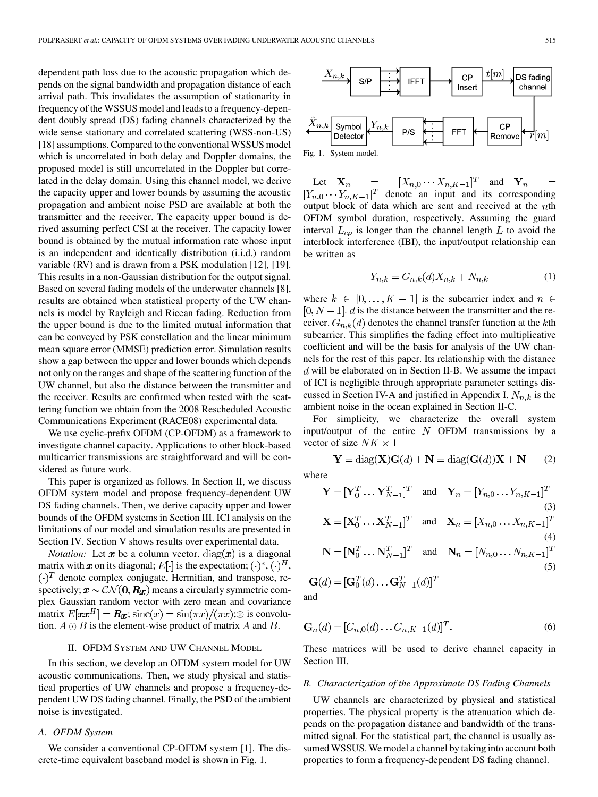dependent path loss due to the acoustic propagation which depends on the signal bandwidth and propagation distance of each arrival path. This invalidates the assumption of stationarity in frequency of the WSSUS model and leads to a frequency-dependent doubly spread (DS) fading channels characterized by the wide sense stationary and correlated scattering (WSS-non-US) [18] assumptions. Compared to the conventional WSSUS model which is uncorrelated in both delay and Doppler domains, the proposed model is still uncorrelated in the Doppler but correlated in the delay domain. Using this channel model, we derive the capacity upper and lower bounds by assuming the acoustic propagation and ambient noise PSD are available at both the transmitter and the receiver. The capacity upper bound is derived assuming perfect CSI at the receiver. The capacity lower bound is obtained by the mutual information rate whose input is an independent and identically distribution (i.i.d.) random variable (RV) and is drawn from a PSK modulation [12], [19]. This results in a non-Gaussian distribution for the output signal. Based on several fading models of the underwater channels [8], results are obtained when statistical property of the UW channels is model by Rayleigh and Ricean fading. Reduction from the upper bound is due to the limited mutual information that can be conveyed by PSK constellation and the linear minimum mean square error (MMSE) prediction error. Simulation results show a gap between the upper and lower bounds which depends not only on the ranges and shape of the scattering function of the UW channel, but also the distance between the transmitter and the receiver. Results are confirmed when tested with the scattering function we obtain from the 2008 Rescheduled Acoustic Communications Experiment (RACE08) experimental data.

We use cyclic-prefix OFDM (CP-OFDM) as a framework to investigate channel capacity. Applications to other block-based multicarrier transmissions are straightforward and will be considered as future work.

This paper is organized as follows. In Section II, we discuss OFDM system model and propose frequency-dependent UW DS fading channels. Then, we derive capacity upper and lower bounds of the OFDM systems in Section III. ICI analysis on the limitations of our model and simulation results are presented in Section IV. Section V shows results over experimental data.

*Notation:* Let  $\boldsymbol{x}$  be a column vector.  $diag(\boldsymbol{x})$  is a diagonal matrix with x on its diagonal;  $E[\cdot]$  is the expectation;  $(\cdot)^*, (\cdot)^H$ ,  $\left(\cdot\right)^{T}$  denote complex conjugate, Hermitian, and transpose, respectively;  $x \sim \mathcal{CN}(0, R_x)$  means a circularly symmetric complex Gaussian random vector with zero mean and covariance matrix  $E[\mathbf{x}\mathbf{x}^H] = \mathbf{R}\mathbf{x}$ ;  $\text{sinc}(x) = \sin(\pi x)/(\pi x)$ ; $\otimes$  is convolution.  $A \odot B$  is the element-wise product of matrix A and B.

## II. OFDM SYSTEM AND UW CHANNEL MODEL

In this section, we develop an OFDM system model for UW acoustic communications. Then, we study physical and statistical properties of UW channels and propose a frequency-dependent UW DS fading channel. Finally, the PSD of the ambient noise is investigated.

#### *A. OFDM System*

We consider a conventional CP-OFDM system [1]. The discrete-time equivalent baseband model is shown in Fig. 1.



Let  $X_n = [X_{n,0} \cdots X_{n,K-1}]^T$  and denote an input and its corresponding output block of data which are sent and received at the  $n$ th OFDM symbol duration, respectively. Assuming the guard interval  $L_{cp}$  is longer than the channel length L to avoid the interblock interference (IBI), the input/output relationship can be written as

$$
Y_{n,k} = G_{n,k}(d)X_{n,k} + N_{n,k}
$$
 (1)

where  $k \in [0, \ldots, K-1]$  is the subcarrier index and  $n \in$  $[0, N-1]$ . *d* is the distance between the transmitter and the receiver.  $G_{n,k}(d)$  denotes the channel transfer function at the kth subcarrier. This simplifies the fading effect into multiplicative coefficient and will be the basis for analysis of the UW channels for the rest of this paper. Its relationship with the distance  $d$  will be elaborated on in Section II-B. We assume the impact of ICI is negligible through appropriate parameter settings discussed in Section IV-A and justified in Appendix I.  $N_{n,k}$  is the ambient noise in the ocean explained in Section II-C.

For simplicity, we characterize the overall system input/output of the entire  $N$  OFDM transmissions by a vector of size  $NK \times 1$ 

$$
\mathbf{Y} = \text{diag}(\mathbf{X})\mathbf{G}(d) + \mathbf{N} = \text{diag}(\mathbf{G}(d))\mathbf{X} + \mathbf{N} \qquad (2)
$$

where

$$
\mathbf{Y} = [\mathbf{Y}_0^T \dots \mathbf{Y}_{N-1}^T]^T \text{ and } \mathbf{Y}_n = [Y_{n,0} \dots Y_{n,K-1}]^T
$$
\n(3)\n
$$
\mathbf{X} = [\mathbf{X}_0^T \dots \mathbf{X}_{N-1}^T]^T \text{ and } \mathbf{X}_n = [X_{n,0} \dots X_{n,K-1}]^T
$$
\n(4)\n
$$
\mathbf{N} = [\mathbf{N}_0^T \dots \mathbf{N}_{N-1}^T]^T \text{ and } \mathbf{N}_n = [N_{n,0} \dots N_{n,K-1}]^T
$$
\n(5)

$$
\mathbf{G}(d) = [\mathbf{G}_0^T(d) \dots \mathbf{G}_{N-1}^T(d)]^T
$$

and

$$
\mathbf{G}_n(d) = [G_{n,0}(d) \dots G_{n,K-1}(d)]^T.
$$
 (6)

These matrices will be used to derive channel capacity in Section III.

#### *B. Characterization of the Approximate DS Fading Channels*

UW channels are characterized by physical and statistical properties. The physical property is the attenuation which depends on the propagation distance and bandwidth of the transmitted signal. For the statistical part, the channel is usually assumed WSSUS. We model a channel by taking into account both properties to form a frequency-dependent DS fading channel.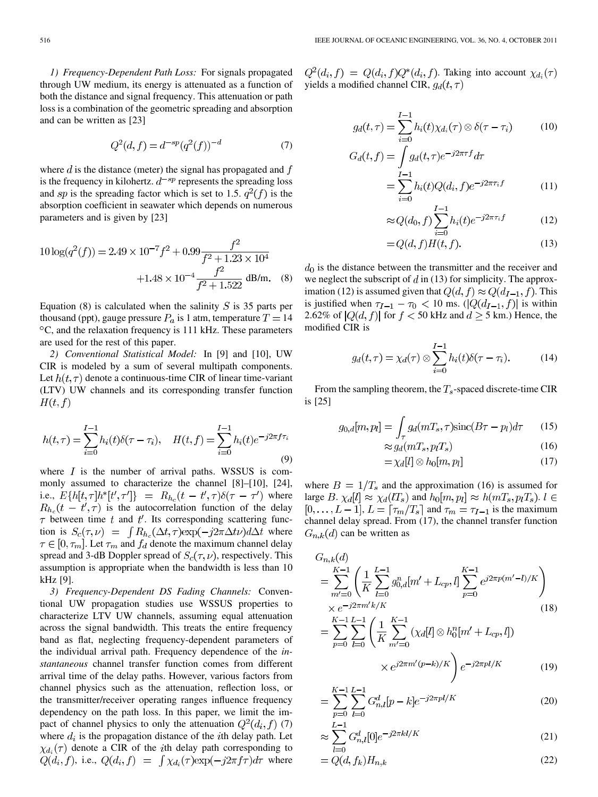*1) Frequency-Dependent Path Loss:* For signals propagated through UW medium, its energy is attenuated as a function of both the distance and signal frequency. This attenuation or path loss is a combination of the geometric spreading and absorption and can be written as [23]

$$
Q^2(d, f) = d^{-sp}(q^2(f))^{-d}
$$
\n(7)

where  $d$  is the distance (meter) the signal has propagated and  $f$ is the frequency in kilohertz.  $d^{-sp}$  represents the spreading loss and sp is the spreading factor which is set to 1.5.  $q^2(f)$  is the absorption coefficient in seawater which depends on numerous parameters and is given by [23]

$$
10\log(q^2(f)) = 2.49 \times 10^{-7} f^2 + 0.99 \frac{f^2}{f^2 + 1.23 \times 10^4} + 1.48 \times 10^{-4} \frac{f^2}{f^2 + 1.522} dB/m.
$$
 (8)

Equation (8) is calculated when the salinity  $S$  is 35 parts per thousand (ppt), gauge pressure  $P_a$  is 1 atm, temperature  $T = 14$  $\rm{^{\circ}C}$ , and the relaxation frequency is 111 kHz. These parameters are used for the rest of this paper.

*2) Conventional Statistical Model:* In [9] and [10], UW CIR is modeled by a sum of several multipath components. Let  $h(t, \tau)$  denote a continuous-time CIR of linear time-variant (LTV) UW channels and its corresponding transfer function  $H(t,f)$ 

$$
h(t,\tau) = \sum_{i=0}^{I-1} h_i(t)\delta(\tau - \tau_i), \quad H(t,f) = \sum_{i=0}^{I-1} h_i(t)e^{-j2\pi f\tau_i}
$$
\n(9)

where  $I$  is the number of arrival paths. WSSUS is commonly assumed to characterize the channel [8]–[10], [24], i.e.,  $E\{h[t,\tau]h^*[t',\tau']\} = R_{h_c}(t-t',\tau)\delta(\tau-\tau')$  where  $R_{h_c}(t-t',\tau)$  is the autocorrelation function of the delay  $\tau$  between time t and t'. Its corresponding scattering function is  $S_c(\tau,\nu) = \int R_{h_c}(\Delta t, \tau) \exp(-j2\pi \Delta t \nu) d\Delta t$  where  $\tau \in [0, \tau_m]$ . Let  $\tau_m$  and  $f_d$  denote the maximum channel delay spread and 3-dB Doppler spread of  $S_c(\tau, \nu)$ , respectively. This assumption is appropriate when the bandwidth is less than 10 kHz [9].

*3) Frequency-Dependent DS Fading Channels:* Conventional UW propagation studies use WSSUS properties to characterize LTV UW channels, assuming equal attenuation across the signal bandwidth. This treats the entire frequency band as flat, neglecting frequency-dependent parameters of the individual arrival path. Frequency dependence of the *instantaneous* channel transfer function comes from different arrival time of the delay paths. However, various factors from channel physics such as the attenuation, reflection loss, or the transmitter/receiver operating ranges influence frequency dependency on the path loss. In this paper, we limit the impact of channel physics to only the attenuation  $Q^2(d_i, f)$  (7) where  $d_i$  is the propagation distance of the *i*th delay path. Let  $\chi_{d_i}(\tau)$  denote a CIR of the *i*th delay path corresponding to  $Q(d_i, f)$ , i.e.,  $Q(d_i, f) = \int \chi_{d_i}(\tau) \exp(-j2\pi f \tau) d\tau$  where  $Q^2(d_i, f) = Q(d_i, f)Q^*(d_i, f)$ . Taking into account  $\chi_{d_i}(\tau)$ yields a modified channel CIR,  $q_d(t, \tau)$ 

$$
g_d(t,\tau) = \sum_{i=0}^{I-1} h_i(t) \chi_{d_i}(\tau) \otimes \delta(\tau - \tau_i)
$$
 (10)

$$
G_d(t, f) = \int g_d(t, \tau) e^{-j2\pi\tau f} d\tau
$$

$$
= \sum_{i=0}^{I-1} h_i(t) Q(d_i, f) e^{-j2\pi\tau_i f} \tag{11}
$$

$$
\approx Q(d_0, f) \sum_{i=0}^{I-1} h_i(t) e^{-j2\pi\tau_i f} \tag{12}
$$

$$
=Q(d,f)H(t,f).
$$
\n(13)

 $d_0$  is the distance between the transmitter and the receiver and we neglect the subscript of  $d$  in (13) for simplicity. The approximation (12) is assumed given that  $Q(d, f) \approx Q(d_{I-1}, f)$ . This is justified when  $\tau_{I-1} - \tau_0 < 10$  ms.  $(|Q(d_{I-1}, f)|)$  is within 2.62% of  $|Q(d, f)|$  for  $f < 50$  kHz and  $d \ge 5$  km.) Hence, the modified CIR is

$$
g_d(t,\tau) = \chi_d(\tau) \otimes \sum_{i=0}^{I-1} h_i(t)\delta(\tau - \tau_i). \tag{14}
$$

From the sampling theorem, the  $T_s$ -spaced discrete-time CIR is [25]

$$
g_{0,d}[m,p_l] = \int_{\tau} g_d(mT_s, \tau) \text{sinc}(B\tau - p_l) d\tau \qquad (15)
$$

$$
\approx g_d(mT_s, p_lT_s) \tag{16}
$$

$$
= \chi_d[l] \otimes h_0[m, p_l] \tag{17}
$$

where  $B = 1/T_s$  and the approximation (16) is assumed for large B.  $\chi_d[l] \approx \chi_d(lT_s)$  and  $h_0[m, p_l] \approx h(mT_s, p_lT_s)$ .  $l \in$  $[0,\ldots,L-1], L = \lceil \tau_m/T_s \rceil$  and  $\tau_m = \tau_{I-1}$  is the maximum channel delay spread. From (17), the channel transfer function  $G_{n,k}(d)$  can be written as

 $=$ 

$$
G_{n,k}(d)
$$
  
\n
$$
= \sum_{m'=0}^{K-1} \left( \frac{1}{K} \sum_{l=0}^{L-1} g_{0,d}^n [m' + L_{cp}, l] \sum_{p=0}^{K-1} e^{j2\pi p(m'-l)/K} \right)
$$
  
\n
$$
\times e^{-j2\pi m'k/K}
$$
  
\n
$$
= \sum_{p=0}^{K-1} \sum_{l=0}^{L-1} \left( \frac{1}{K} \sum_{m'=0}^{K-1} (\chi_d[l] \otimes h_0^n [m' + L_{cp}, l]) \right)
$$
  
\n
$$
\times e^{j2\pi m'(p-k)/K} \right) e^{-j2\pi p l/K}
$$
(19)

$$
= \sum_{p=0}^{K-1} \sum_{l=0}^{L-1} G_{n,l}^d [p-k] e^{-j2\pi p l/K}
$$
 (20)

$$
\approx \sum_{l=0}^{L-1} G_{n,l}^d [0] e^{-j2\pi kl/K} \tag{21}
$$

$$
= Q(d, f_k)H_{n,k} \tag{22}
$$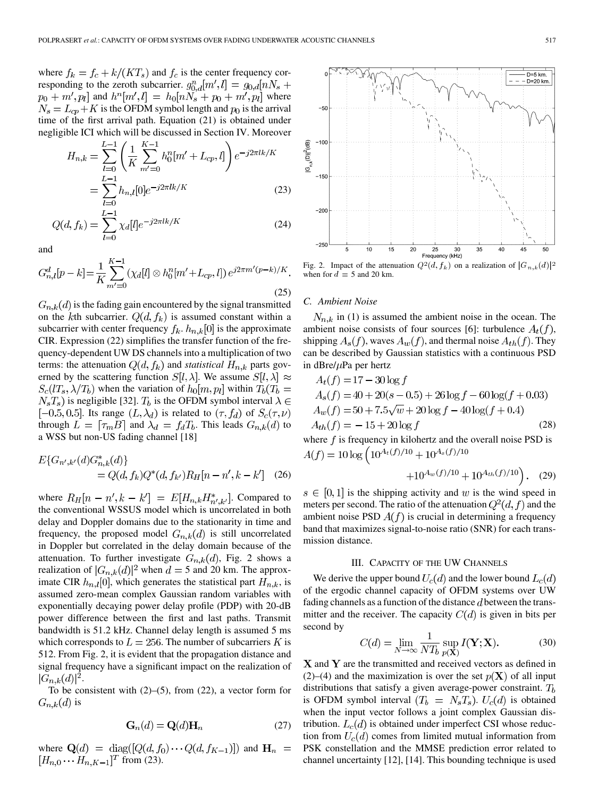where  $f_k = f_c + k/(KT_s)$  and  $f_c$  is the center frequency corresponding to the zeroth subcarrier.  $g_{0,d}^n[m',l] = g_{0,d}[nN_s +$  $p_0 + m', p_l$  and  $h^n[m', l] = h_0[nN_s + p_0 + m', p_l]$  where  $N_s = L_{cp} + K$  is the OFDM symbol length and  $p_0$  is the arrival time of the first arrival path. Equation (21) is obtained under negligible ICI which will be discussed in Section IV. Moreover

$$
H_{n,k} = \sum_{l=0}^{L-1} \left( \frac{1}{K} \sum_{m'=0}^{K-1} h_0^n [m' + L_{cp}, l] \right) e^{-j2\pi lk/K}
$$
  
= 
$$
\sum_{l=0}^{L-1} h_{n,l} [0] e^{-j2\pi lk/K}
$$
(23)

$$
Q(d, f_k) = \sum_{l=0}^{L-1} \chi_d[l] e^{-j2\pi lk/K}
$$
\n(24)

and

$$
G_{n,l}^d[p-k] = \frac{1}{K} \sum_{m'=0}^{K-1} (\chi_d[l] \otimes h_0^n[m'+L_{cp}, l]) e^{j2\pi m'(p-k)/K}.
$$
\n(25)

 $G_{n,k}(d)$  is the fading gain encountered by the signal transmitted on the kth subcarrier.  $Q(d, f_k)$  is assumed constant within a subcarrier with center frequency  $f_k$ .  $h_{n,k}[0]$  is the approximate CIR. Expression (22) simplifies the transfer function of the frequency-dependent UW DS channels into a multiplication of two terms: the attenuation  $Q(d, f_k)$  and *statistical*  $H_{n,k}$  parts governed by the scattering function  $S[l, \lambda]$ . We assume  $S[l, \lambda] \approx$  $S_c(T_s, \lambda/T_b)$  when the variation of  $h_0[m, p_l]$  within  $T_b(T_b =$  $N_sT_s$ ) is negligible [32].  $T_b$  is the OFDM symbol interval  $\lambda \in$  $[-0.5, 0.5]$ . Its range  $(L, \lambda_d)$  is related to  $(\tau, f_d)$  of  $S_c(\tau, \nu)$ through  $L = \lfloor \tau_m B \rfloor$  and  $\lambda_d = f_d T_b$ . This leads  $G_{n,k}(d)$  to a WSS but non-US fading channel [18]

$$
E\{G_{n',k'}(d)G_{n,k}^*(d)\}
$$
  
=  $Q(d, f_k)Q^*(d, f_{k'})R_H[n - n', k - k']$  (26)

where  $R_H[n - n', k - k'] = E[H_{n,k} H_{n',k'}^*]$ . Compared to the conventional WSSUS model which is uncorrelated in both delay and Doppler domains due to the stationarity in time and frequency, the proposed model  $G_{n,k}(d)$  is still uncorrelated in Doppler but correlated in the delay domain because of the attenuation. To further investigate  $G_{n,k}(d)$ , Fig. 2 shows a realization of  $|G_{n,k}(d)|^2$  when  $d=5$  and 20 km. The approximate CIR  $h_{n,l}[0]$ , which generates the statistical part  $H_{n,k}$ , is assumed zero-mean complex Gaussian random variables with exponentially decaying power delay profile (PDP) with 20-dB power difference between the first and last paths. Transmit bandwidth is 51.2 kHz. Channel delay length is assumed 5 ms which corresponds to  $L = 256$ . The number of subcarriers K is 512. From Fig. 2, it is evident that the propagation distance and signal frequency have a significant impact on the realization of  $|G_{n,k}(d)|^2$ .

To be consistent with  $(2)$ – $(5)$ , from  $(22)$ , a vector form for  $G_{n,k}(d)$  is

$$
\mathbf{G}_n(d) = \mathbf{Q}(d)\mathbf{H}_n\tag{27}
$$

where  $\mathbf{Q}(d) = \text{diag}([Q(d, f_0) \cdots Q(d, f_{K-1})])$  and  $\mathbf{H}_n =$  $[H_{n,0}\cdots H_{n,K-1}]^T$  from (23).



Fig. 2. Impact of the attenuation  $Q^2(d, f_k)$  on a realization of  $|G_{n,k}(d)|$ when for  $d = 5$  and 20 km.

#### *C. Ambient Noise*

 $N_{n,k}$  in (1) is assumed the ambient noise in the ocean. The ambient noise consists of four sources [6]: turbulence  $A_t(f)$ , shipping  $A_s(f)$ , waves  $A_w(f)$ , and thermal noise  $A_{th}(f)$ . They can be described by Gaussian statistics with a continuous PSD in dBre/ $\mu$ Pa per hertz

$$
A_t(f) = 17 - 30 \log f
$$
  
\n
$$
A_s(f) = 40 + 20(s - 0.5) + 26 \log f - 60 \log(f + 0.03)
$$
  
\n
$$
A_w(f) = 50 + 7.5\sqrt{w} + 20 \log f - 40 \log(f + 0.4)
$$
  
\n
$$
A_{th}(f) = -15 + 20 \log f
$$
 (28)

where  $f$  is frequency in kilohertz and the overall noise PSD is  $A(f) = 10 \log \left( 10^{A_t(f)/10} + 10^{A_s(f)/10} \right)$ 

$$
+10^{A_w(f)/10} + 10^{A_{th}(f)/10} \Big). \quad (29)
$$

 $s \in [0,1]$  is the shipping activity and w is the wind speed in meters per second. The ratio of the attenuation  $Q^2(d, f)$  and the ambient noise PSD  $A(f)$  is crucial in determining a frequency band that maximizes signal-to-noise ratio (SNR) for each transmission distance.

## III. CAPACITY OF THE UW CHANNELS

We derive the upper bound  $U_c(d)$  and the lower bound  $L_c(d)$ of the ergodic channel capacity of OFDM systems over UW fading channels as a function of the distance  $d$  between the transmitter and the receiver. The capacity  $C(d)$  is given in bits per second by

$$
C(d) = \lim_{N \to \infty} \frac{1}{NT_b} \sup_{p(\mathbf{X})} I(\mathbf{Y}; \mathbf{X}).
$$
 (30)

 $X$  and  $Y$  are the transmitted and received vectors as defined in (2)–(4) and the maximization is over the set  $p(X)$  of all input distributions that satisfy a given average-power constraint.  $T<sub>b</sub>$ is OFDM symbol interval  $(T_b = N_s T_s)$ .  $U_c(d)$  is obtained when the input vector follows a joint complex Gaussian distribution.  $L_c(d)$  is obtained under imperfect CSI whose reduction from  $U_c(d)$  comes from limited mutual information from PSK constellation and the MMSE prediction error related to channel uncertainty [12], [14]. This bounding technique is used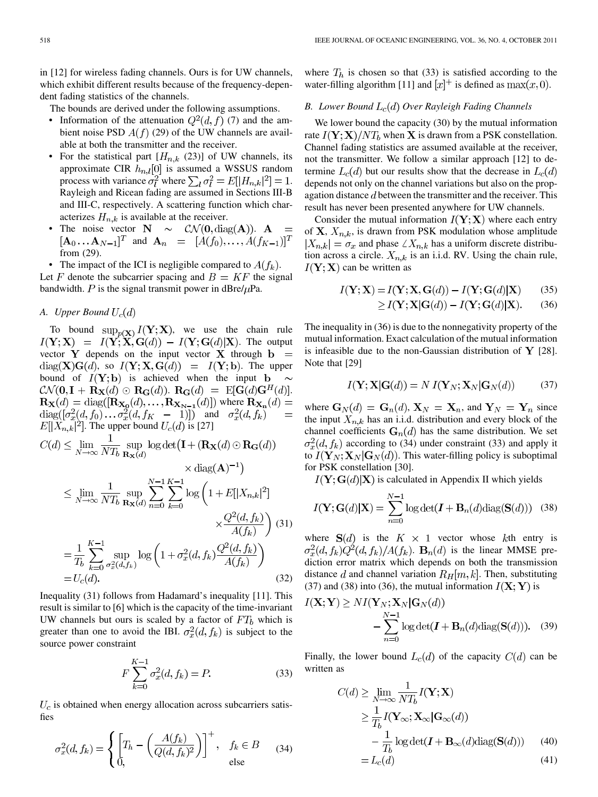in [12] for wireless fading channels. Ours is for UW channels, which exhibit different results because of the frequency-dependent fading statistics of the channels.

The bounds are derived under the following assumptions.

- Information of the attenuation  $Q^2(d, f)$  (7) and the ambient noise PSD  $A(f)$  (29) of the UW channels are available at both the transmitter and the receiver.
- For the statistical part  $[H_{n,k}(23)]$  of UW channels, its approximate CIR  $h_{n,l}[0]$  is assumed a WSSUS random process with variance  $\sigma_l^2$  where  $\sum_l \sigma_l^2 = E[|H_{n,k}|^2] = 1$ . Rayleigh and Ricean fading are assumed in Sections III-B and III-C, respectively. A scattering function which characterizes  $H_{n,k}$  is available at the receiver.
- The noise vector  $N \sim \mathcal{CN}(0, \text{diag}(A))$ .  $A =$  $[{\bf A}_0 \dots {\bf A}_{N-1}]^T$  and  ${\bf A}_n = [A(f_0), \dots, A(f_{K-1})]^T$ from (29).
- The impact of the ICI is negligible compared to  $A(f_k)$ .

Let F denote the subcarrier spacing and  $B = KF$  the signal bandwidth. P is the signal transmit power in dBre/ $\mu$ Pa.

## *A. Upper Bound*

To bound  $\sup_{p(\mathbf{X})} I(\mathbf{Y}; \mathbf{X})$ , we use the chain rule  $I(Y; X) = I(Y; X, G(d)) - I(Y; G(d)|X)$ . The output vector  $Y$  depends on the input vector  $X$  through  $b$  $\equiv$  $diag(X)G(d)$ , so  $I(Y; X, G(d)) = I(Y; b)$ . The upper bound of  $I(Y; b)$  is achieved when the input b  $\sim$  $\mathcal{CN}(\mathbf{0}, \mathbf{I} + \mathbf{R}_{\mathbf{X}}(d) \odot \mathbf{R}_{\mathbf{G}}(d)).$   $\mathbf{R}_{\mathbf{G}}(d) = \mathbb{E}[\mathbf{G}(d)\mathbf{G}^{H}(d)].$ where and  $E[|X_{n,k}|^2]$ . The upper bound  $U_c(d)$  is [27]

$$
C(d) \leq \lim_{N \to \infty} \frac{1}{NT_b} \sup_{\mathbf{R_X}(d)} \log \det(\mathbf{I} + (\mathbf{R_X}(d) \odot \mathbf{R_G}(d))
$$
  
\n
$$
\times \text{diag}(\mathbf{A})^{-1})
$$
  
\n
$$
\leq \lim_{N \to \infty} \frac{1}{NT_b} \sup_{\mathbf{R_X}(d)} \sum_{n=0}^{N-1} \sum_{k=0}^{K-1} \log \left( 1 + E[|X_{n,k}|^2] \right)
$$
  
\n
$$
\times \frac{Q^2(d, f_k)}{A(f_k)} \right) (31)
$$
  
\n
$$
= \frac{1}{T_b} \sum_{k=0}^{K-1} \sup_{\sigma_x^2(d, f_k)} \log \left( 1 + \sigma_x^2(d, f_k) \frac{Q^2(d, f_k)}{A(f_k)} \right)
$$
  
\n
$$
= U_c(d). \tag{32}
$$

Inequality (31) follows from Hadamard's inequality [11]. This result is similar to [6] which is the capacity of the time-invariant UW channels but ours is scaled by a factor of  $FT_b$  which is greater than one to avoid the IBI.  $\sigma_x^2(d, f_k)$  is subject to the source power constraint

$$
F\sum_{k=0}^{K-1} \sigma_x^2(d, f_k) = P.
$$
 (33)

 $U_c$  is obtained when energy allocation across subcarriers satisfies

$$
\sigma_x^2(d, f_k) = \begin{cases} \left[ T_h - \left( \frac{A(f_k)}{Q(d, f_k)^2} \right) \right]^+, & f_k \in B \\ 0, & \text{else} \end{cases}
$$
 (34)

where  $T_h$  is chosen so that (33) is satisfied according to the water-filling algorithm [11] and  $[x]^{+}$  is defined as  $\max(x, 0)$ .

## *B. Lower Bound*  $L_c(d)$  *Over Rayleigh Fading Channels*

We lower bound the capacity (30) by the mutual information rate  $I(Y; X)/NT_b$  when X is drawn from a PSK constellation. Channel fading statistics are assumed available at the receiver, not the transmitter. We follow a similar approach [12] to determine  $L_c(d)$  but our results show that the decrease in  $L_c(d)$ depends not only on the channel variations but also on the propagation distance  $d$  between the transmitter and the receiver. This result has never been presented anywhere for UW channels.

Consider the mutual information  $I(Y; X)$  where each entry of **X**,  $X_{n,k}$ , is drawn from PSK modulation whose amplitude  $|X_{n,k}| = \sigma_x$  and phase  $\angle X_{n,k}$  has a uniform discrete distribution across a circle.  $X_{n,k}$  is an i.i.d. RV. Using the chain rule,  $I(Y; X)$  can be written as

$$
I(\mathbf{Y}; \mathbf{X}) = I(\mathbf{Y}; \mathbf{X}, \mathbf{G}(d)) - I(\mathbf{Y}; \mathbf{G}(d)|\mathbf{X}) \tag{35}
$$

$$
\geq I(\mathbf{Y}; \mathbf{X}|\mathbf{G}(d)) - I(\mathbf{Y}; \mathbf{G}(d)|\mathbf{X}). \tag{36}
$$

The inequality in (36) is due to the nonnegativity property of the mutual information. Exact calculation of the mutual information is infeasible due to the non-Gaussian distribution of  $\bf{Y}$  [28]. Note that [29]

$$
I(\mathbf{Y}; \mathbf{X} | \mathbf{G}(d)) = N I(\mathbf{Y}_N; \mathbf{X}_N | \mathbf{G}_N(d)) \tag{37}
$$

where  $G_N(d) = G_n(d)$ ,  $X_N = X_n$ , and  $Y_N = Y_n$  since the input  $X_{n,k}$  has an i.i.d. distribution and every block of the channel coefficients  $\mathbf{G}_n(d)$  has the same distribution. We set  $\sigma_x^2(d, f_k)$  according to (34) under constraint (33) and apply it to  $I(Y_N; X_N | G_N(d))$ . This water-filling policy is suboptimal for PSK constellation [30].

 $I(Y; G(d)|X)$  is calculated in Appendix II which yields

$$
I(\mathbf{Y}; \mathbf{G}(d)|\mathbf{X}) = \sum_{n=0}^{N-1} \log \det(\mathbf{I} + \mathbf{B}_n(d) \text{diag}(\mathbf{S}(d))) \quad (38)
$$

where  $S(d)$  is the  $K \times 1$  vector whose kth entry is  $\sigma_x^2(d, f_k)Q^2(d, f_k)/A(f_k)$ .  $\mathbf{B}_n(d)$  is the linear MMSE prediction error matrix which depends on both the transmission distance d and channel variation  $R_H[m, k]$ . Then, substituting (37) and (38) into (36), the mutual information  $I(X; Y)$  is

$$
I(\mathbf{X}; \mathbf{Y}) \ge NI(\mathbf{Y}_N; \mathbf{X}_N | \mathbf{G}_N(d))
$$
  
 
$$
- \sum_{n=0}^{N-1} \log \det(\mathbf{I} + \mathbf{B}_n(d) \text{diag}(\mathbf{S}(d))). \quad (39)
$$

Finally, the lower bound  $L_c(d)$  of the capacity  $C(d)$  can be written as

$$
C(d) \ge \lim_{N \to \infty} \frac{1}{NT_b} I(\mathbf{Y}; \mathbf{X})
$$
  
\n
$$
\ge \frac{1}{T_b} I(\mathbf{Y}_{\infty}; \mathbf{X}_{\infty} | \mathbf{G}_{\infty}(d))
$$
  
\n
$$
- \frac{1}{T_b} \log \det(I + \mathbf{B}_{\infty}(d) \text{diag}(\mathbf{S}(d))) \tag{40}
$$
  
\n
$$
= L_c(d) \tag{41}
$$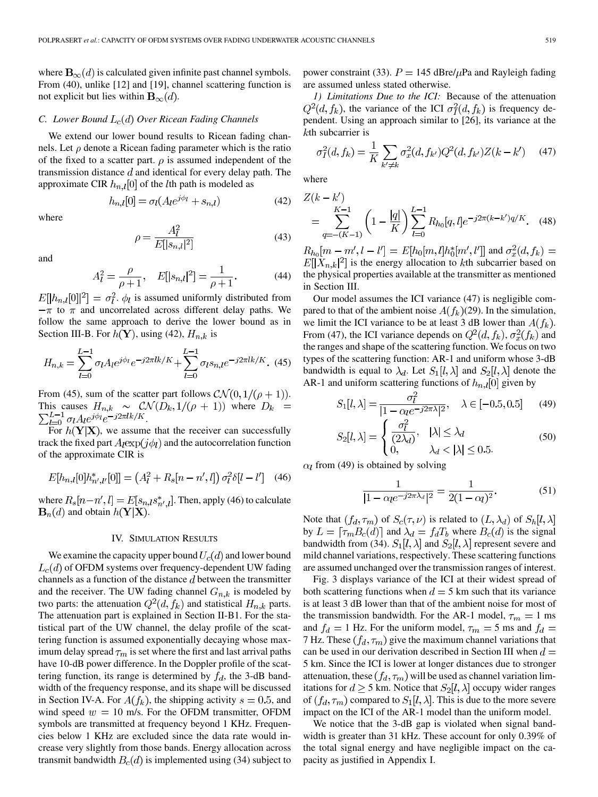where  $\mathbf{B}_{\infty}(d)$  is calculated given infinite past channel symbols. From (40), unlike [12] and [19], channel scattering function is not explicit but lies within  $\mathbf{B}_{\infty}(d)$ .

## *C. Lower Bound L<sub>c</sub>(d) Over Ricean Fading Channels*

We extend our lower bound results to Ricean fading channels. Let  $\rho$  denote a Ricean fading parameter which is the ratio of the fixed to a scatter part.  $\rho$  is assumed independent of the transmission distance  $d$  and identical for every delay path. The approximate CIR  $h_{n,l}[0]$  of the *l*th path is modeled as

$$
h_{n,l}[0] = \sigma_l(A_l e^{j\phi_l} + s_{n,l})
$$
\n(42)

where

$$
\rho = \frac{A_l^2}{E[|s_{n,l}|^2]}
$$
(43)

and

$$
A_l^2 = \frac{\rho}{\rho + 1}, \quad E[|s_{n,l}|^2] = \frac{1}{\rho + 1}.
$$
 (44)

 $E[|h_{n,l}[0]|^2] = \sigma_l^2$ .  $\phi_l$  is assumed uniformly distributed from  $-\pi$  to  $\pi$  and uncorrelated across different delay paths. We follow the same approach to derive the lower bound as in Section III-B. For  $h(Y)$ , using (42),  $H_{n,k}$  is

$$
H_{n,k} = \sum_{l=0}^{L-1} \sigma_l A_l e^{j\phi_l} e^{-j2\pi lk/K} + \sum_{l=0}^{L-1} \sigma_l s_{n,l} e^{-j2\pi lk/K}.
$$
 (45)

From (45), sum of the scatter part follows  $\mathcal{CN}(0,1/(\rho+1))$ . This causes  $H_{n,k} \sim \mathcal{CN}(D_k, 1/(\rho + 1))$  where .

For  $h(Y|X)$ , we assume that the receiver can successfully track the fixed part  $A_l \exp(j\phi_l)$  and the autocorrelation function of the approximate CIR is

$$
E[h_{n,l}[0]h_{n',l'}^*[0]] = (A_l^2 + R_s[n - n', l]) \sigma_l^2 \delta[l - l'] \quad (46)
$$

where  $R_s[n-n',l] = E[s_{n,l}s_{n',l}^*]$ . Then, apply (46) to calculate  $\mathbf{B}_n(d)$  and obtain  $h(\mathbf{Y}|\mathbf{X})$ .

#### IV. SIMULATION RESULTS

We examine the capacity upper bound  $U_c(d)$  and lower bound  $L_c(d)$  of OFDM systems over frequency-dependent UW fading channels as a function of the distance  $d$  between the transmitter and the receiver. The UW fading channel  $G_{n,k}$  is modeled by two parts: the attenuation  $Q^2(d, f_k)$  and statistical  $H_{n,k}$  parts. The attenuation part is explained in Section II-B1. For the statistical part of the UW channel, the delay profile of the scattering function is assumed exponentially decaying whose maximum delay spread  $\tau_m$  is set where the first and last arrival paths have 10-dB power difference. In the Doppler profile of the scattering function, its range is determined by  $f_d$ , the 3-dB bandwidth of the frequency response, and its shape will be discussed in Section IV-A. For  $A(f_k)$ , the shipping activity  $s = 0.5$ , and wind speed  $w = 10$  m/s. For the OFDM transmitter, OFDM symbols are transmitted at frequency beyond 1 KHz. Frequencies below 1 KHz are excluded since the data rate would increase very slightly from those bands. Energy allocation across transmit bandwidth  $B<sub>c</sub>(d)$  is implemented using (34) subject to power constraint (33).  $P = 145$  dBre/ $\mu$ Pa and Rayleigh fading are assumed unless stated otherwise.

*1) Limitations Due to the ICI:* Because of the attenuation  $Q^2(d, f_k)$ , the variance of the ICI  $\sigma_I^2(d, f_k)$  is frequency dependent. Using an approach similar to [26], its variance at the  $k$ th subcarrier is

$$
\sigma_I^2(d, f_k) = \frac{1}{K} \sum_{k' \neq k} \sigma_x^2(d, f_{k'}) Q^2(d, f_{k'}) Z(k - k') \tag{47}
$$

where

 $Z(k-k')$ 

$$
= \sum_{q=-(K-1)}^{K-1} \left(1 - \frac{|q|}{K}\right) \sum_{l=0}^{L-1} R_{h_0}[q, l] e^{-j2\pi (k - k')q/K}.
$$
 (48)

 $R_{h_0}[m-m', l-l'] = E[h_0[m, l]h_0^*[m', l']$  and  $\sigma_x^2(d, f_k) =$  $E[|X_{n,k}|^2]$  is the energy allocation to kth subcarrier based on the physical properties available at the transmitter as mentioned in Section III.

Our model assumes the ICI variance (47) is negligible compared to that of the ambient noise  $A(f_k)(29)$ . In the simulation, we limit the ICI variance to be at least 3 dB lower than  $A(f_k)$ . From (47), the ICI variance depends on  $Q^2(d, f_k)$ ,  $\sigma_x^2(f_k)$  and the ranges and shape of the scattering function. We focus on two types of the scattering function: AR-1 and uniform whose 3-dB bandwidth is equal to  $\lambda_d$ . Let  $S_1[l, \lambda]$  and  $S_2[l, \lambda]$  denote the AR-1 and uniform scattering functions of  $h_{n,l}[0]$  given by

$$
S_1[l, \lambda] = \frac{\sigma_l^2}{|1 - \alpha_l e^{-j2\pi\lambda}|^2}, \quad \lambda \in [-0.5, 0.5] \tag{49}
$$

$$
S_2[l,\lambda] = \begin{cases} \frac{\sigma_l^2}{(2\lambda_d)}, & |\lambda| \le \lambda_d \\ 0, & \lambda_d < |\lambda| \le 0.5. \end{cases}
$$
 (50)

 $\alpha_l$  from (49) is obtained by solving

$$
\frac{1}{|1 - \alpha_l e^{-j2\pi\lambda_d}|^2} = \frac{1}{2(1 - \alpha_l)^2}.
$$
 (51)

Note that  $(f_d, \tau_m)$  of  $S_c(\tau, \nu)$  is related to  $(L, \lambda_d)$  of  $S_h[l, \lambda]$ by  $L = \lceil \tau_m B_c(d) \rceil$  and  $\lambda_d = f_d T_b$  where  $B_c(d)$  is the signal bandwidth from (34).  $S_1[l, \lambda]$  and  $S_2[l, \lambda]$  represent severe and mild channel variations, respectively. These scattering functions are assumed unchanged over the transmission ranges of interest.

Fig. 3 displays variance of the ICI at their widest spread of both scattering functions when  $d = 5$  km such that its variance is at least 3 dB lower than that of the ambient noise for most of the transmission bandwidth. For the AR-1 model,  $\tau_m = 1$  ms and  $f_d = 1$  Hz. For the uniform model,  $\tau_m = 5$  ms and  $f_d =$ 7 Hz. These  $(f_d, \tau_m)$  give the maximum channel variations that can be used in our derivation described in Section III when  $d =$ 5 km. Since the ICI is lower at longer distances due to stronger attenuation, these  $(f_d, \tau_m)$  will be used as channel variation limitations for  $d \geq 5$  km. Notice that  $S_2[l, \lambda]$  occupy wider ranges of  $(f_d, \tau_m)$  compared to  $S_1[l, \lambda]$ . This is due to the more severe impact on the ICI of the AR-1 model than the uniform model.

We notice that the 3-dB gap is violated when signal bandwidth is greater than 31 kHz. These account for only 0.39% of the total signal energy and have negligible impact on the capacity as justified in Appendix I.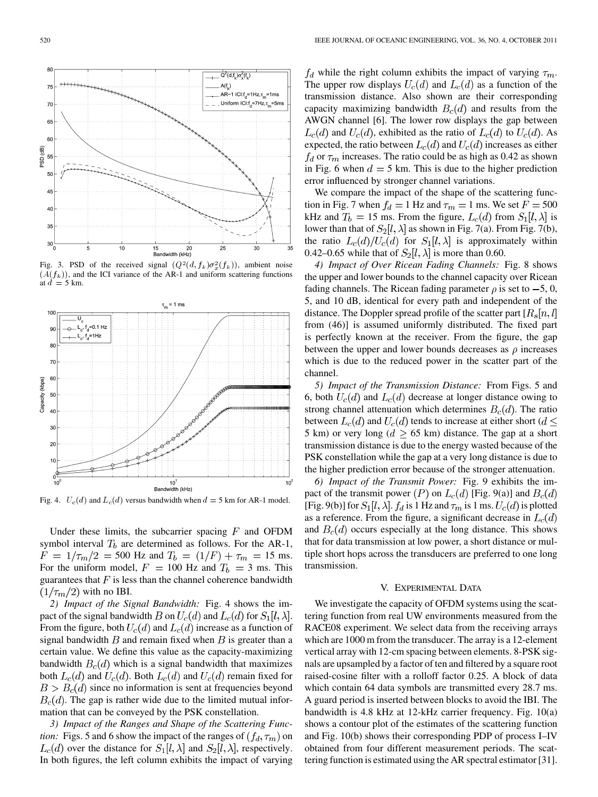

Fig. 3. PSD of the received signal  $(Q^2(d, f_k)\sigma_x^2(f_k))$ , ambient noise  $(A(f_k))$ , and the ICI variance of the AR-1 and uniform scattering functions at  $d = 5$  km.



Fig. 4.  $U_c(d)$  and  $L_c(d)$  versus bandwidth when  $d = 5$  km for AR-1 model.

Under these limits, the subcarrier spacing  $F$  and OFDM symbol interval  $T_b$  are determined as follows. For the AR-1,  $F = 1/\tau_m/2 = 500$  Hz and  $T_b = (1/F) + \tau_m = 15$  ms. For the uniform model,  $F = 100$  Hz and  $T_b = 3$  ms. This guarantees that  $F$  is less than the channel coherence bandwidth  $(1/\tau_m/2)$  with no IBI.

*2) Impact of the Signal Bandwidth:* Fig. 4 shows the impact of the signal bandwidth B on  $U_c(d)$  and  $L_c(d)$  for  $S_1[l, \lambda]$ . From the figure, both  $U_c(d)$  and  $L_c(d)$  increase as a function of signal bandwidth  $B$  and remain fixed when  $B$  is greater than a certain value. We define this value as the capacity-maximizing bandwidth  $B<sub>c</sub>(d)$  which is a signal bandwidth that maximizes both  $L_c(d)$  and  $U_c(d)$ . Both  $L_c(d)$  and  $U_c(d)$  remain fixed for  $B > B<sub>c</sub>(d)$  since no information is sent at frequencies beyond  $B<sub>c</sub>(d)$ . The gap is rather wide due to the limited mutual information that can be conveyed by the PSK constellation.

*3) Impact of the Ranges and Shape of the Scattering Function:* Figs. 5 and 6 show the impact of the ranges of  $(f_d, \tau_m)$  on  $L_c(d)$  over the distance for  $S_1[l, \lambda]$  and  $S_2[l, \lambda]$ , respectively. In both figures, the left column exhibits the impact of varying

 $f_d$  while the right column exhibits the impact of varying  $\tau_m$ . The upper row displays  $U_c(d)$  and  $L_c(d)$  as a function of the transmission distance. Also shown are their corresponding capacity maximizing bandwidth  $B<sub>c</sub>(d)$  and results from the AWGN channel [6]. The lower row displays the gap between  $L_c(d)$  and  $U_c(d)$ , exhibited as the ratio of  $L_c(d)$  to  $U_c(d)$ . As expected, the ratio between  $L_c(d)$  and  $U_c(d)$  increases as either  $f_d$  or  $\tau_m$  increases. The ratio could be as high as 0.42 as shown in Fig. 6 when  $d = 5$  km. This is due to the higher prediction error influenced by stronger channel variations.

We compare the impact of the shape of the scattering function in Fig. 7 when  $f_d = 1$  Hz and  $\tau_m = 1$  ms. We set  $F = 500$ kHz and  $T_b = 15$  ms. From the figure,  $L_c(d)$  from  $S_1[l, \lambda]$  is lower than that of  $S_2[l, \lambda]$  as shown in Fig. 7(a). From Fig. 7(b), the ratio  $L_c(d)/U_c(d)$  for  $S_1[l, \lambda]$  is approximately within 0.42–0.65 while that of  $S_2[l, \lambda]$  is more than 0.60.

*4) Impact of Over Ricean Fading Channels:* Fig. 8 shows the upper and lower bounds to the channel capacity over Ricean fading channels. The Ricean fading parameter  $\rho$  is set to  $-5$ , 0, 5, and 10 dB, identical for every path and independent of the distance. The Doppler spread profile of the scatter part  $[R_s[n, l]]$ from (46)] is assumed uniformly distributed. The fixed part is perfectly known at the receiver. From the figure, the gap between the upper and lower bounds decreases as  $\rho$  increases which is due to the reduced power in the scatter part of the channel.

*5) Impact of the Transmission Distance:* From Figs. 5 and 6, both  $U_c(d)$  and  $L_c(d)$  decrease at longer distance owing to strong channel attenuation which determines  $B_c(d)$ . The ratio between  $L_c(d)$  and  $U_c(d)$  tends to increase at either short ( $d \leq$ 5 km) or very long ( $d \ge 65$  km) distance. The gap at a short transmission distance is due to the energy wasted because of the PSK constellation while the gap at a very long distance is due to the higher prediction error because of the stronger attenuation.

*6) Impact of the Transmit Power:* Fig. 9 exhibits the impact of the transmit power  $(P)$  on  $L_c(d)$  [Fig. 9(a)] and  $B_c(d)$ [Fig. 9(b)] for  $S_1[l, \lambda]$ .  $f_d$  is 1 Hz and  $\tau_m$  is 1 ms.  $U_c(d)$  is plotted as a reference. From the figure, a significant decrease in  $L_c(d)$ and  $B_c(d)$  occurs especially at the long distance. This shows that for data transmission at low power, a short distance or multiple short hops across the transducers are preferred to one long transmission.

## V. EXPERIMENTAL DATA

We investigate the capacity of OFDM systems using the scattering function from real UW environments measured from the RACE08 experiment. We select data from the receiving arrays which are 1000 m from the transducer. The array is a 12-element vertical array with 12-cm spacing between elements. 8-PSK signals are upsampled by a factor of ten and filtered by a square root raised-cosine filter with a rolloff factor 0.25. A block of data which contain 64 data symbols are transmitted every 28.7 ms. A guard period is inserted between blocks to avoid the IBI. The bandwidth is 4.8 kHz at 12-kHz carrier frequency. Fig. 10(a) shows a contour plot of the estimates of the scattering function and Fig. 10(b) shows their corresponding PDP of process I–IV obtained from four different measurement periods. The scattering function is estimated using the AR spectral estimator [31].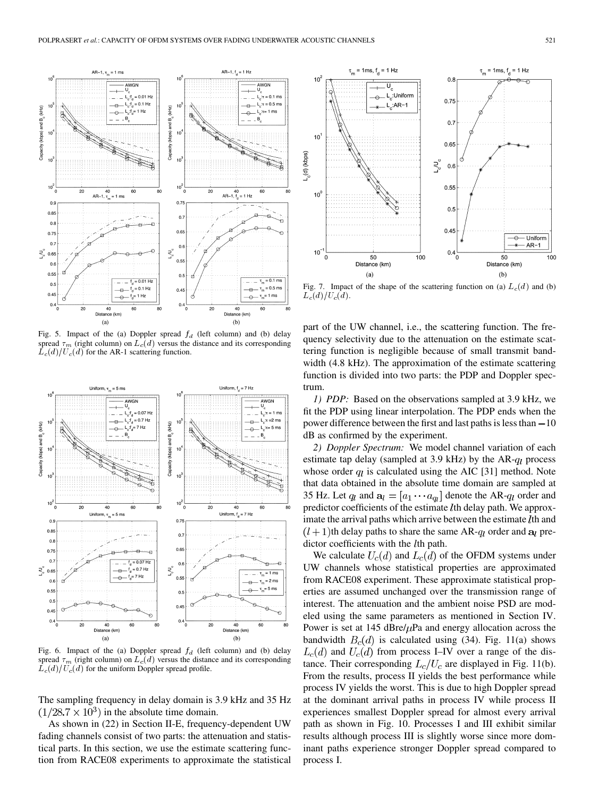

Fig. 5. Impact of the (a) Doppler spread  $f_d$  (left column) and (b) delay spread  $\tau_m$  (right column) on  $L_c(d)$  versus the distance and its corresponding  $L_c(d)/U_c(d)$  for the AR-1 scattering function.



Fig. 6. Impact of the (a) Doppler spread  $f_d$  (left column) and (b) delay spread  $\tau_m$  (right column) on  $L_c(d)$  versus the distance and its corresponding  $L_c(d)/U_c(d)$  for the uniform Doppler spread profile.

The sampling frequency in delay domain is 3.9 kHz and 35 Hz  $(1/28.7 \times 10^3)$  in the absolute time domain.

As shown in (22) in Section II-E, frequency-dependent UW fading channels consist of two parts: the attenuation and statistical parts. In this section, we use the estimate scattering function from RACE08 experiments to approximate the statistical



Fig. 7. Impact of the shape of the scattering function on (a)  $L_c(d)$  and (b)  $L_c(d)/U_c(d)$ .

part of the UW channel, i.e., the scattering function. The frequency selectivity due to the attenuation on the estimate scattering function is negligible because of small transmit bandwidth (4.8 kHz). The approximation of the estimate scattering function is divided into two parts: the PDP and Doppler spectrum.

*1) PDP:* Based on the observations sampled at 3.9 kHz, we fit the PDP using linear interpolation. The PDP ends when the power difference between the first and last paths is less than  $-10$ dB as confirmed by the experiment.

*2) Doppler Spectrum:* We model channel variation of each estimate tap delay (sampled at 3.9 kHz) by the  $AR-q_l$  process whose order  $q_l$  is calculated using the AIC [31] method. Note that data obtained in the absolute time domain are sampled at 35 Hz. Let  $q_l$  and  $\mathbf{a}_l = [a_1 \cdots a_{q_l}]$  denote the AR- $q_l$  order and predictor coefficients of the estimate  $l$ th delay path. We approximate the arrival paths which arrive between the estimate  $l$ th and  $(l + 1)$ th delay paths to share the same AR- $q_l$  order and  $q_l$  predictor coefficients with the *l*th path.

We calculate  $U_c(d)$  and  $L_c(d)$  of the OFDM systems under UW channels whose statistical properties are approximated from RACE08 experiment. These approximate statistical properties are assumed unchanged over the transmission range of interest. The attenuation and the ambient noise PSD are modeled using the same parameters as mentioned in Section IV. Power is set at 145 dBre/ $\mu$ Pa and energy allocation across the bandwidth  $B_c(d)$  is calculated using (34). Fig. 11(a) shows  $L_c(d)$  and  $U_c(d)$  from process I–IV over a range of the distance. Their corresponding  $L_c/U_c$  are displayed in Fig. 11(b). From the results, process II yields the best performance while process IV yields the worst. This is due to high Doppler spread at the dominant arrival paths in process IV while process II experiences smallest Doppler spread for almost every arrival path as shown in Fig. 10. Processes I and III exhibit similar results although process III is slightly worse since more dominant paths experience stronger Doppler spread compared to process I.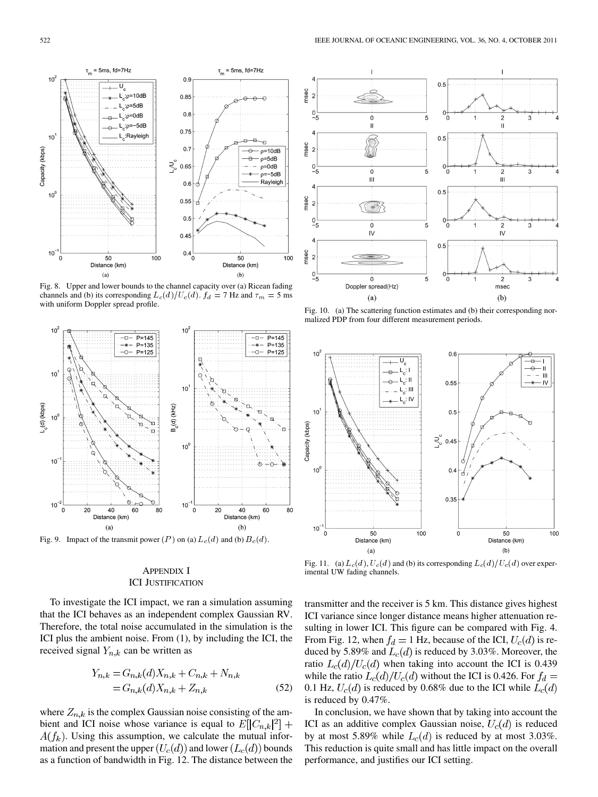

Fig. 8. Upper and lower bounds to the channel capacity over (a) Ricean fading channels and (b) its corresponding  $L_c(d)/U_c(d)$ .  $f_d = 7$  Hz and  $\tau_m = 5$  ms with uniform Doppler spread profile.



Fig. 9. Impact of the transmit power  $(P)$  on (a)  $L_c(d)$  and (b)  $B_c(d)$ .



Fig. 10. (a) The scattering function estimates and (b) their corresponding normalized PDP from four different measurement periods.



## APPENDIX I ICI JUSTIFICATION

To investigate the ICI impact, we ran a simulation assuming that the ICI behaves as an independent complex Gaussian RV. Therefore, the total noise accumulated in the simulation is the ICI plus the ambient noise. From (1), by including the ICI, the received signal  $Y_{n,k}$  can be written as

$$
Y_{n,k} = G_{n,k}(d)X_{n,k} + C_{n,k} + N_{n,k}
$$
  
=  $G_{n,k}(d)X_{n,k} + Z_{n,k}$  (52)

where  $Z_{n,k}$  is the complex Gaussian noise consisting of the ambient and ICI noise whose variance is equal to  $E[|C_{n,k}|^2]$  +  $A(f_k)$ . Using this assumption, we calculate the mutual information and present the upper  $(U_c(d))$  and lower  $(L_c(d))$  bounds as a function of bandwidth in Fig. 12. The distance between the

Fig. 11. (a)  $L_c(d)$ ,  $U_c(d)$  and (b) its corresponding  $L_c(d)/U_c(d)$  over experimental UW fading channels.

transmitter and the receiver is 5 km. This distance gives highest ICI variance since longer distance means higher attenuation resulting in lower ICI. This figure can be compared with Fig. 4. From Fig. 12, when  $f_d = 1$  Hz, because of the ICI,  $U_c(d)$  is reduced by 5.89% and  $L_c(d)$  is reduced by 3.03%. Moreover, the ratio  $L_c(d)/U_c(d)$  when taking into account the ICI is 0.439 while the ratio  $L_c(d)/U_c(d)$  without the ICI is 0.426. For  $f_d =$ 0.1 Hz,  $U_c(d)$  is reduced by 0.68% due to the ICI while  $L_c(d)$ is reduced by 0.47%.

In conclusion, we have shown that by taking into account the ICI as an additive complex Gaussian noise,  $U_c(d)$  is reduced by at most 5.89% while  $L_c(d)$  is reduced by at most 3.03%. This reduction is quite small and has little impact on the overall performance, and justifies our ICI setting.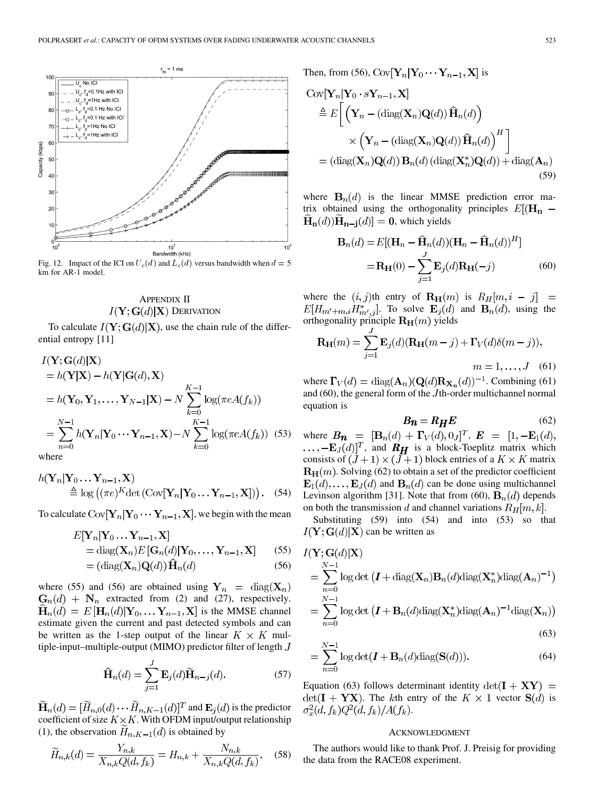

Fig. 12. Impact of the ICI on  $U_c(d)$  and  $L_c(d)$  versus bandwidth when  $d = 5$ km for AR-1 model.

## APPENDIX II  $I(Y; G(d)|X)$  DERIVATION

To calculate  $I(Y; G(d)|X)$ , use the chain rule of the differential entropy [11]

$$
I(\mathbf{Y}; \mathbf{G}(d)|\mathbf{X})
$$
  
=  $h(\mathbf{Y}|\mathbf{X}) - h(\mathbf{Y}|\mathbf{G}(d), \mathbf{X})$   
=  $h(\mathbf{Y}_0, \mathbf{Y}_1, ..., \mathbf{Y}_{N-1}|\mathbf{X}) - N \sum_{k=0}^{K-1} \log(\pi e A(f_k))$   
=  $\sum_{n=0}^{N-1} h(\mathbf{Y}_n | \mathbf{Y}_0 ... \mathbf{Y}_{n-1}, \mathbf{X}) - N \sum_{k=0}^{K-1} \log(\pi e A(f_k))$  (53)  
where

where

$$
h(\mathbf{Y}_n|\mathbf{Y}_0 \dots \mathbf{Y}_{n-1}, \mathbf{X}) \triangleq \log ((\pi e)^K \det (\text{Cov}[\mathbf{Y}_n|\mathbf{Y}_0 \dots \mathbf{Y}_{n-1}, \mathbf{X}])) . \quad (54)
$$

To calculate  $Cov[Y_n|Y_0 \cdots Y_{n-1}, X]$ , we begin with the mean

$$
E[\mathbf{Y}_n | \mathbf{Y}_0 \dots \mathbf{Y}_{n-1}, \mathbf{X}]
$$
  
= diag( $\mathbf{X}_n$ )E [ $\mathbf{G}_n(d)$  |  $\mathbf{Y}_0, \dots, \mathbf{Y}_{n-1}, \mathbf{X}$ ] (55)

$$
= (\text{diag}(\mathbf{X}_n)\mathbf{Q}(d))\,\hat{\mathbf{H}}_n(d) \tag{56}
$$

where (55) and (56) are obtained using  $Y_n = \text{diag}(X_n)$  $G_n(d) + N_n$  extracted from (2) and (27), respectively.  $\mathbf{H}_n(d) = E[\mathbf{H}_n(d)|\mathbf{Y}_0,\dots\mathbf{Y}_{n-1},\mathbf{X}]$  is the MMSE channel estimate given the current and past detected symbols and can be written as the 1-step output of the linear  $K \times K$  multiple-input–multiple-output (MIMO) predictor filter of length  $J$ 

$$
\widehat{\mathbf{H}}_n(d) = \sum_{j=1}^J \mathbf{E}_j(d) \widetilde{\mathbf{H}}_{n-j}(d). \tag{57}
$$

 $\widetilde{\mathbf{H}}_n(d) = [\widetilde{H}_{n,0}(d) \cdots \widetilde{H}_{n,K-1}(d)]^T$  and  $\mathbf{E}_j(d)$  is the predictor coefficient of size  $K \times K$ . With OFDM input/output relationship (1), the observation  $H_{n,K-1}(d)$  is obtained by

$$
\widetilde{H}_{n,k}(d) = \frac{Y_{n,k}}{X_{n,k}Q(d,f_k)} = H_{n,k} + \frac{N_{n,k}}{X_{n,k}Q(d,f_k)}.
$$
 (58)

Then, from (56), Cov[
$$
\mathbf{Y}_n | \mathbf{Y}_0 \cdots \mathbf{Y}_{n-1}, \mathbf{X}
$$
] is  
\n
$$
Cov[\mathbf{Y}_n | \mathbf{Y}_0 \cdot s \mathbf{Y}_{n-1}, \mathbf{X}]
$$
\n
$$
\triangleq E\left[ \left( \mathbf{Y}_n - (\text{diag}(\mathbf{X}_n) \mathbf{Q}(d)) \hat{\mathbf{H}}_n(d) \right) \times \left( \mathbf{Y}_n - (\text{diag}(\mathbf{X}_n) \mathbf{Q}(d)) \hat{\mathbf{H}}_n(d) \right)^H \right]
$$
\n
$$
= (\text{diag}(\mathbf{X}_n) \mathbf{Q}(d)) \mathbf{B}_n(d) (\text{diag}(\mathbf{X}_n^*) \mathbf{Q}(d)) + \text{diag}(\mathbf{A}_n)
$$
\n(59)

where  $B_n(d)$  is the linear MMSE prediction error matrix obtained using the orthogonality principles  $E[(\mathbf{H}_{n} \mathbf{H}_{n}(d)$ ) $\mathbf{H}_{n-i}(d)$  = 0, which yields

$$
\mathbf{B}_n(d) = E[(\mathbf{H}_n - \hat{\mathbf{H}}_n(d))(\mathbf{H}_n - \hat{\mathbf{H}}_n(d))^H]
$$
  
=  $\mathbf{R}_{\mathbf{H}}(0) - \sum_{j=1}^J \mathbf{E}_j(d)\mathbf{R}_{\mathbf{H}}(-j)$  (60)

where the  $(i, j)$ th entry of  $\mathbf{R}_{\mathbf{H}}(m)$  is  $R_H[m, i - j] =$  $E[H_{m'+m,i}H_{m',j}^*].$  To solve  $\mathbf{E}_j(d)$  and  $\mathbf{B}_n(d)$ , using the orthogonality principle  $\mathbf{R}_{\mathbf{H}}(m)$  yields

$$
\mathbf{R}_{\mathbf{H}}(m) = \sum_{j=1}^{J} \mathbf{E}_{j}(d)(\mathbf{R}_{\mathbf{H}}(m-j) + \mathbf{\Gamma}_{V}(d)\delta(m-j)),
$$
  

$$
m = 1, ..., J \quad (61)
$$

where  $\Gamma_V(d) = \text{diag}(\mathbf{A}_n)(\mathbf{Q}(d)\mathbf{R}_{\mathbf{X}_n}(d))^{-1}$ . Combining (61) and  $(60)$ , the general form of the Jth-order multichannel normal equation is

$$
B_{\mathbf{n}} = R_{\mathbf{H}} E \tag{62}
$$

where  $B_{\mathbf{n}} = [\mathbf{B}_n(d) + \mathbf{\Gamma}_V(d), 0]$ <sup>T</sup>, , and  $R_H$  is a block-Toeplitz matrix which consists of  $(J+1) \times (J+1)$  block entries of a  $K \times K$  matrix  $\mathbf{R}_{\mathbf{H}}(m)$ . Solving (62) to obtain a set of the predictor coefficient  $\mathbf{E}_1(d), \ldots, \mathbf{E}_J(d)$  and  $\mathbf{B}_n(d)$  can be done using multichannel Levinson algorithm [31]. Note that from (60),  $\mathbf{B}_n(d)$  depends on both the transmission d and channel variations  $R_H[m, k]$ .

Substituting (59) into (54) and into (53) so that  $I(Y; G(d)|X)$  can be written as

$$
I(\mathbf{Y}; \mathbf{G}(d)|\mathbf{X})
$$
  
=  $\sum_{n=0}^{N-1} \log \det (\mathbf{I} + \text{diag}(\mathbf{X}_n) \mathbf{B}_n(d) \text{diag}(\mathbf{X}_n^*) \text{diag}(\mathbf{A}_n)^{-1})$   
=  $\sum_{n=0}^{N-1} \log \det (\mathbf{I} + \mathbf{B}_n(d) \text{diag}(\mathbf{X}_n^*) \text{diag}(\mathbf{A}_n)^{-1} \text{diag}(\mathbf{X}_n))$   
(63)

$$
= \sum_{n=0}^{N-1} \log \det(\mathbf{I} + \mathbf{B}_n(d)\operatorname{diag}(\mathbf{S}(d))).
$$
 (64)

Equation (63) follows determinant identity  $\det(\mathbf{I} + \mathbf{X}\mathbf{Y})$  =  $\det(\mathbf{I} + \mathbf{Y}\mathbf{X})$ . The kth entry of the  $K \times 1$  vector  $\mathbf{S}(d)$  is  $\sigma_x^2(d, f_k)Q^2(d, f_k)/A(f_k).$ 

### ACKNOWLEDGMENT

The authors would like to thank Prof. J. Preisig for providing the data from the RACE08 experiment.